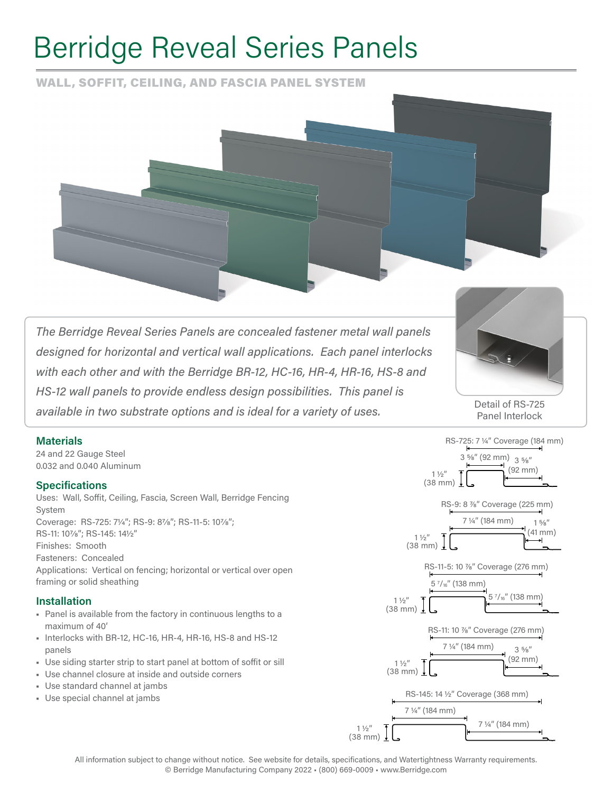# Berridge Reveal Series Panels

WALL, SOFFIT, CEILING, AND FASCIA PANEL SYSTEM



*The Berridge Reveal Series Panels are concealed fastener metal wall panels designed for horizontal and vertical wall applications. Each panel interlocks with each other and with the Berridge BR-12, HC-16, HR-4, HR-16, HS-8 and HS-12 wall panels to provide endless design possibilities. This panel is available in two substrate options and is ideal for a variety of uses.* 



Detail of RS-725 Panel Interlock

### **Materials**

24 and 22 Gauge Steel 0.032 and 0.040 Aluminum

### **Specifications**

Uses: Wall, Soffit, Ceiling, Fascia, Screen Wall, Berridge Fencing System Coverage: RS-725: 71/4"; RS-9: 87/8"; RS-11-5: 107/8"; RS-11: 10%"; RS-145: 14½" Finishes: Smooth Fasteners: Concealed Applications: Vertical on fencing; horizontal or vertical over open framing or solid sheathing

#### **Installation**

- Panel is available from the factory in continuous lengths to a maximum of 40'
- Interlocks with BR-12, HC-16, HR-4, HR-16, HS-8 and HS-12 panels
- Use siding starter strip to start panel at bottom of soffit or sill
- Use channel closure at inside and outside corners
- Use standard channel at jambs
- Use special channel at jambs



All information subject to change without notice. See website for details, specifications, and Watertightness Warranty requirements. © Berridge Manufacturing Company 2022 • (800) 669-0009 • www.Berridge.com